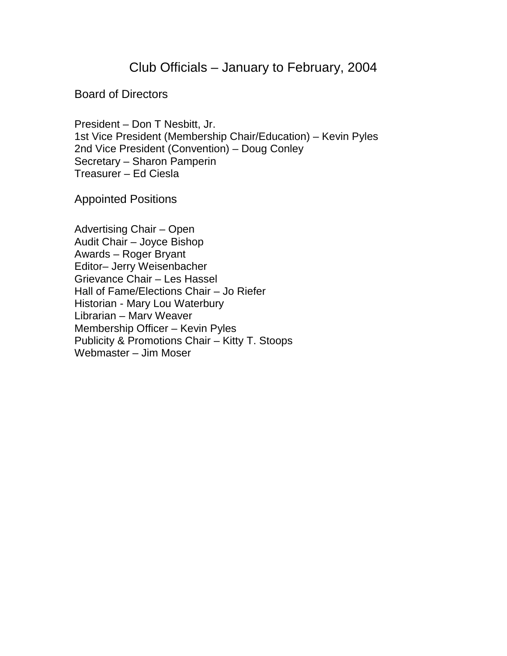## Club Officials – January to February, 2004

## Board of Directors

President – Don T Nesbitt, Jr. 1st Vice President (Membership Chair/Education) – Kevin Pyles 2nd Vice President (Convention) – Doug Conley Secretary – Sharon Pamperin Treasurer – Ed Ciesla

Appointed Positions

Advertising Chair – Open Audit Chair – Joyce Bishop Awards – Roger Bryant Editor– Jerry Weisenbacher Grievance Chair – Les Hassel Hall of Fame/Elections Chair – Jo Riefer Historian - Mary Lou Waterbury Librarian – Marv Weaver Membership Officer – Kevin Pyles Publicity & Promotions Chair – Kitty T. Stoops Webmaster – Jim Moser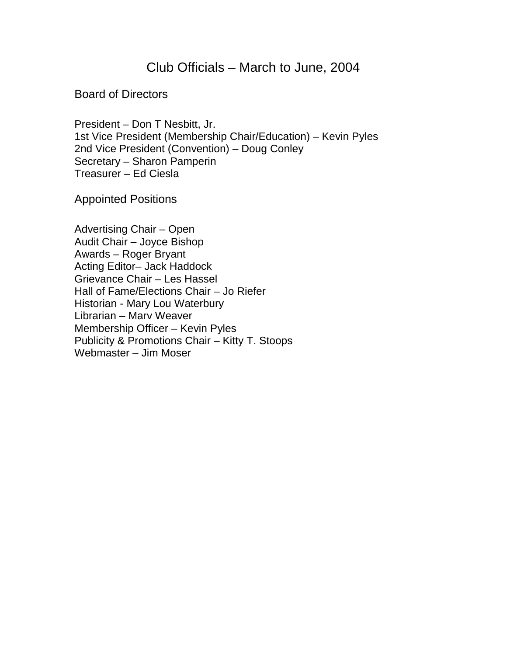## Club Officials – March to June, 2004

## Board of Directors

President – Don T Nesbitt, Jr. 1st Vice President (Membership Chair/Education) – Kevin Pyles 2nd Vice President (Convention) – Doug Conley Secretary – Sharon Pamperin Treasurer – Ed Ciesla

Appointed Positions

Advertising Chair – Open Audit Chair – Joyce Bishop Awards – Roger Bryant Acting Editor– Jack Haddock Grievance Chair – Les Hassel Hall of Fame/Elections Chair – Jo Riefer Historian - Mary Lou Waterbury Librarian – Marv Weaver Membership Officer – Kevin Pyles Publicity & Promotions Chair – Kitty T. Stoops Webmaster – Jim Moser